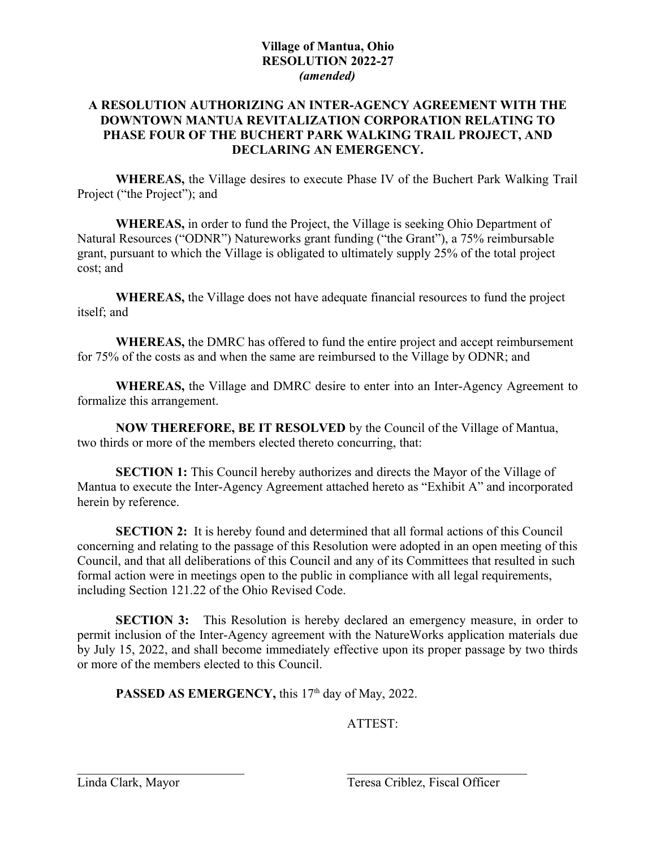## **A RESOLUTION AUTHORIZING AN INTER-AGENCY AGREEMENT WITH THE DOWNTOWN MANTUA REVITALIZATION CORPORATION RELATING TO PHASE FOUR OF THE BUCHERT PARK WALKING TRAIL PROJECT, AND DECLARING AN EMERGENCY.**

**WHEREAS,** the Village desires to execute Phase IV of the Buchert Park Walking Trail Project ("the Project"); and

**WHEREAS,** in order to fund the Project, the Village is seeking Ohio Department of Natural Resources ("ODNR") Natureworks grant funding ("the Grant"), a 75% reimbursable grant, pursuant to which the Village is obligated to ultimately supply 25% of the total project cost; and

**WHEREAS,** the Village does not have adequate financial resources to fund the project itself; and

**WHEREAS,** the DMRC has offered to fund the entire project and accept reimbursement for 75% of the costs as and when the same are reimbursed to the Village by ODNR; and

**WHEREAS,** the Village and DMRC desire to enter into an Inter-Agency Agreement to formalize this arrangement.

**NOW THEREFORE, BE IT RESOLVED** by the Council of the Village of Mantua, two thirds or more of the members elected thereto concurring, that:

**SECTION 1:** This Council hereby authorizes and directs the Mayor of the Village of Mantua to execute the Inter-Agency Agreement attached hereto as "Exhibit A" and incorporated herein by reference.

**SECTION 2:** It is hereby found and determined that all formal actions of this Council concerning and relating to the passage of this Resolution were adopted in an open meeting of this Council, and that all deliberations of this Council and any of its Committees that resulted in such formal action were in meetings open to the public in compliance with all legal requirements, including Section 121.22 of the Ohio Revised Code.

**SECTION 3:** This Resolution is hereby declared an emergency measure, in order to permit inclusion of the Inter-Agency agreement with the NatureWorks application materials due by July 15, 2022, and shall become immediately effective upon its proper passage by two thirds or more of the members elected to this Council.

**PASSED AS EMERGENCY, this 17<sup>th</sup> day of May, 2022.** 

ATTEST: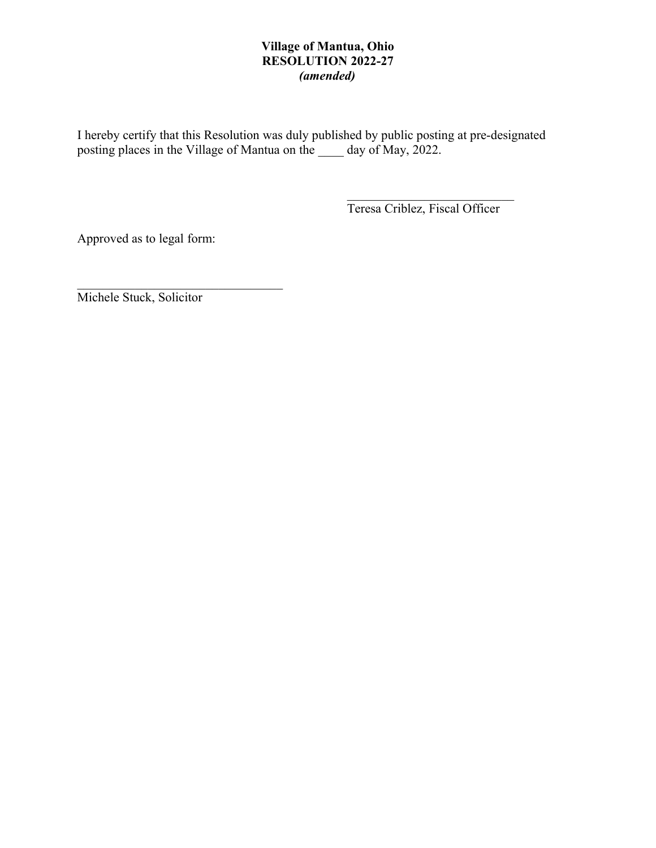I hereby certify that this Resolution was duly published by public posting at pre-designated posting places in the Village of Mantua on the \_\_\_\_ day of May, 2022.

Teresa Criblez, Fiscal Officer

Approved as to legal form:

Michele Stuck, Solicitor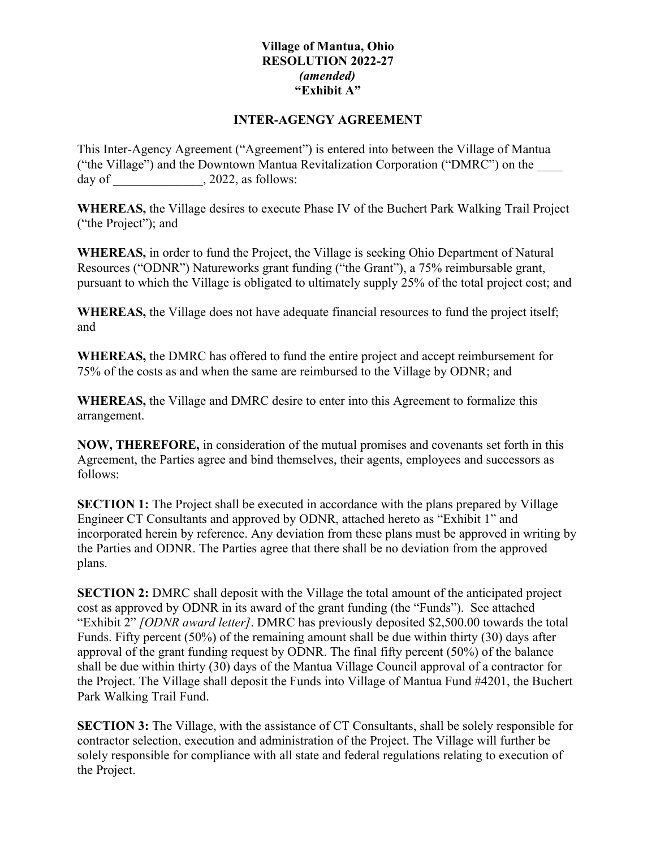## **INTER-AGENGY AGREEMENT**

This Inter-Agency Agreement ("Agreement") is entered into between the Village of Mantua ("the Village") and the Downtown Mantua Revitalization Corporation ("DMRC") on the day of  $\qquad \qquad$ , 2022, as follows:

**WHEREAS,** the Village desires to execute Phase IV of the Buchert Park Walking Trail Project ("the Project"); and

**WHEREAS,** in order to fund the Project, the Village is seeking Ohio Department of Natural Resources ("ODNR") Natureworks grant funding ("the Grant"), a 75% reimbursable grant, pursuant to which the Village is obligated to ultimately supply 25% of the total project cost; and

**WHEREAS,** the Village does not have adequate financial resources to fund the project itself; and

**WHEREAS,** the DMRC has offered to fund the entire project and accept reimbursement for 75% of the costs as and when the same are reimbursed to the Village by ODNR; and

**WHEREAS,** the Village and DMRC desire to enter into this Agreement to formalize this arrangement.

**NOW, THEREFORE,** in consideration of the mutual promises and covenants set forth in this Agreement, the Parties agree and bind themselves, their agents, employees and successors as follows:

**SECTION 1:** The Project shall be executed in accordance with the plans prepared by Village Engineer CT Consultants and approved by ODNR, attached hereto as "Exhibit 1" and incorporated herein by reference. Any deviation from these plans must be approved in writing by the Parties and ODNR. The Parties agree that there shall be no deviation from the approved plans.

**SECTION 2:** DMRC shall deposit with the Village the total amount of the anticipated project cost as approved by ODNR in its award of the grant funding (the "Funds"). See attached "Exhibit 2" *[ODNR award letter]*. DMRC has previously deposited \$2,500.00 towards the total Funds. Fifty percent (50%) of the remaining amount shall be due within thirty (30) days after approval of the grant funding request by ODNR. The final fifty percent (50%) of the balance shall be due within thirty (30) days of the Mantua Village Council approval of a contractor for the Project. The Village shall deposit the Funds into Village of Mantua Fund #4201, the Buchert Park Walking Trail Fund.

**SECTION 3:** The Village, with the assistance of CT Consultants, shall be solely responsible for contractor selection, execution and administration of the Project. The Village will further be solely responsible for compliance with all state and federal regulations relating to execution of the Project.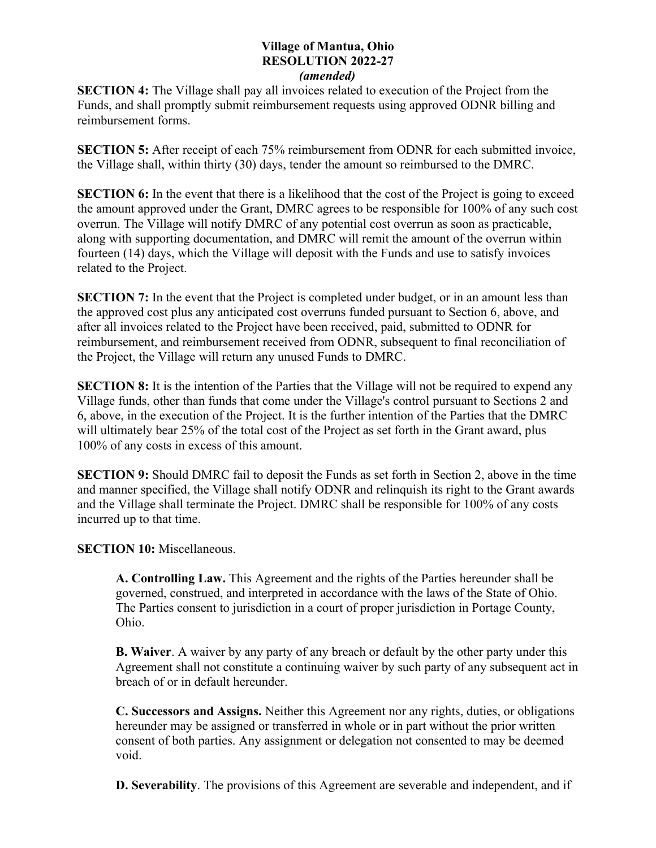**SECTION 4:** The Village shall pay all invoices related to execution of the Project from the Funds, and shall promptly submit reimbursement requests using approved ODNR billing and reimbursement forms.

**SECTION 5:** After receipt of each 75% reimbursement from ODNR for each submitted invoice, the Village shall, within thirty (30) days, tender the amount so reimbursed to the DMRC.

**SECTION 6:** In the event that there is a likelihood that the cost of the Project is going to exceed the amount approved under the Grant, DMRC agrees to be responsible for 100% of any such cost overrun. The Village will notify DMRC of any potential cost overrun as soon as practicable, along with supporting documentation, and DMRC will remit the amount of the overrun within fourteen (14) days, which the Village will deposit with the Funds and use to satisfy invoices related to the Project.

**SECTION 7:** In the event that the Project is completed under budget, or in an amount less than the approved cost plus any anticipated cost overruns funded pursuant to Section 6, above, and after all invoices related to the Project have been received, paid, submitted to ODNR for reimbursement, and reimbursement received from ODNR, subsequent to final reconciliation of the Project, the Village will return any unused Funds to DMRC.

**SECTION 8:** It is the intention of the Parties that the Village will not be required to expend any Village funds, other than funds that come under the Village's control pursuant to Sections 2 and 6, above, in the execution of the Project. It is the further intention of the Parties that the DMRC will ultimately bear 25% of the total cost of the Project as set forth in the Grant award, plus 100% of any costs in excess of this amount.

**SECTION 9:** Should DMRC fail to deposit the Funds as set forth in Section 2, above in the time and manner specified, the Village shall notify ODNR and relinquish its right to the Grant awards and the Village shall terminate the Project. DMRC shall be responsible for 100% of any costs incurred up to that time.

**SECTION 10:** Miscellaneous.

**A. Controlling Law.** This Agreement and the rights of the Parties hereunder shall be governed, construed, and interpreted in accordance with the laws of the State of Ohio. The Parties consent to jurisdiction in a court of proper jurisdiction in Portage County, Ohio.

**B. Waiver**. A waiver by any party of any breach or default by the other party under this Agreement shall not constitute a continuing waiver by such party of any subsequent act in breach of or in default hereunder.

**C. Successors and Assigns.** Neither this Agreement nor any rights, duties, or obligations hereunder may be assigned or transferred in whole or in part without the prior written consent of both parties. Any assignment or delegation not consented to may be deemed void.

**D. Severability**. The provisions of this Agreement are severable and independent, and if